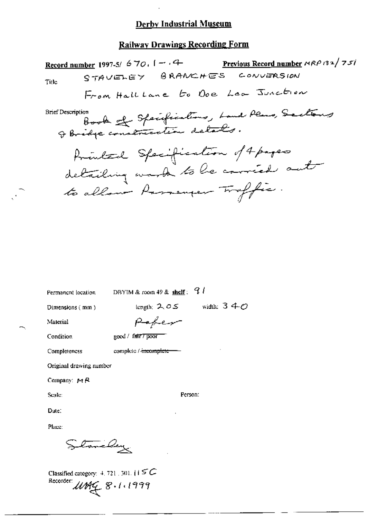## **Railway Drawings Recording Form**

Previous Record number NRP 132/751 Record number 1997-5/  $670.1 - .4$ STAVELEY BRANCHES CONVERSION Title From Hall Lane to Doe Lea Junction Book of Specifications, Land Plans, Sactions **Brief Description** franked Specification of 4 pages detailing work to be corried out to allow Parranger Troffic.

Permanent location

DBYIM & room 49 & shelf:  $9l$ 

Paper

complete / incomplete -

Dimensions (mm)

length:  $2.05$  width:  $340$ 

Material

Condition

good / fair7 poor

Completeness

Original drawing number

Company:  $M \, R$ 

Scale:

Person:

Date:

Place:

tome Day

Classified category:  $4, 721$ , 301,  $\uparrow \uparrow \subseteq C$ Recorder: UMG 8.1.1999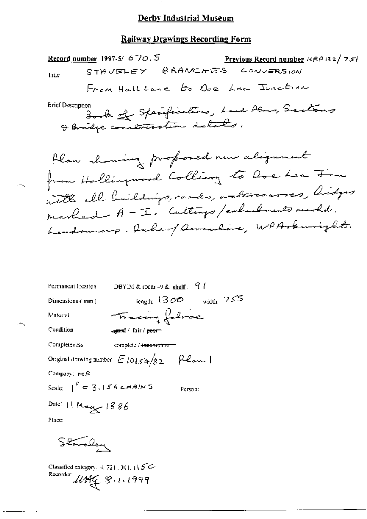$\boldsymbol{\varphi}$ 

## **Railway Drawings Recording Form**

| Record number 1997-5/ $670.5$<br><u>Previous Record number</u> $\alpha R \rho$ is $2/7.57$<br>STAVELEY BRANCHES CONVERSION<br>Title<br>From Hall Lane to Ope Lea Junction                                                           |
|-------------------------------------------------------------------------------------------------------------------------------------------------------------------------------------------------------------------------------------|
| <b>Brief Description</b><br>Book of Specifications, Land Plans, Sections<br>I Bridge construction details.                                                                                                                          |
| Hlaw showing proposed new alignment<br>from Hollingwood Colling to love her Fen<br>with all buildings, roads, valercourses, lidges<br>marbed A - I. Culturys/emberlaments mereld.<br>Landownary: Rache of Acrosslave, WPArburright. |
| DBYIM & room $49$ & shelf: $9$ /<br>Permanent location                                                                                                                                                                              |
| $\epsilon_{\rm length:}$ 1300 $\epsilon_{\rm width:}$ 755<br>Dimensions (mm)                                                                                                                                                        |
| Tracing followe<br>Material                                                                                                                                                                                                         |
| Condition<br><del>∡yeed</del> / fair / <del>poor</del>                                                                                                                                                                              |
| Completeness<br>complete / incomplete-                                                                                                                                                                                              |
| Original drawing number $E$ $\log \frac{s_4}{s_2}$ $\approx$ $\approx$ $\approx$ 1                                                                                                                                                  |

Company:  $PA$ 

**-**

 $\overline{\phantom{0}}$ 

Scale:  $1^R = 3.156$  c-HAINS

Person:

Date: 11 May 1886 Place:

Standary

Classified category. 4, 721, 301, t1 5 C Recorder: 11899 8.1.1999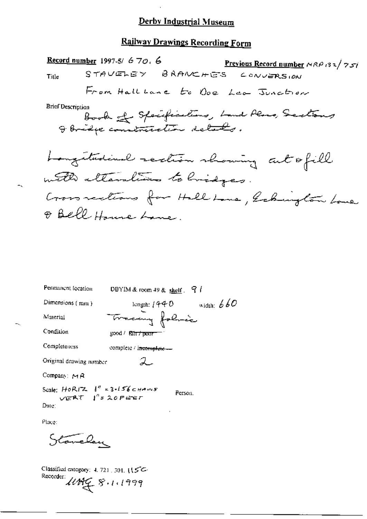## **Railway Drawings Recording Form**

Record number 1997-5/  $6\,70.6$ STAVELEY BRANCHES  $L$  ONVERSION Title From Hallbane to Ope Lea Junction **Brief Description** Book of Specifications, Land Plans, Sections I Bridge construction details. Longitudinal section showing cut ofill with elterations to bridges. Cross rections for Hall Lane, Echington Love O Bell House Lane.

| Permanent focation                                   | DBYIM & room 49 & shelf $\frac{1}{2}$ / |
|------------------------------------------------------|-----------------------------------------|
| Dimensions (mm)                                      | width: $660$<br>length: $1440$          |
| Material                                             | Tracing folice                          |
| Condition                                            | good / Rit <del>r / pour</del>          |
| Completeness                                         | complete / i <del>ncomplete</del> -     |
| Original drawing number                              |                                         |
| Company: $M R$                                       |                                         |
| Scale: $HORIZ = 1n = 3-156cm+ms$<br>VERT I'S 20 FEET | Person.                                 |
| Date :                                               |                                         |
| Place:                                               |                                         |

Stavelan

Classified entegory: 4, 721, 301,  $(5C -$ Recorder:  $\mu$ Mg  $\beta$ . 1.1999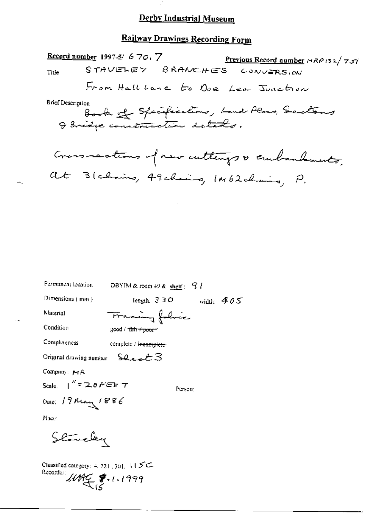$\mathbb{R}^3$ 

# **Railway Drawings Recording Form**

| <b>Record number 1997-5/670.7</b><br>Previous Record number $\triangle R$ (32/757)     |
|----------------------------------------------------------------------------------------|
| STAVELEY BRANCHES CONVERSION<br>Title                                                  |
| From Hall Lane to Doe Lea Junction                                                     |
| <b>Brief Description</b><br>Book of Specifications, Land Alans, Sections               |
| Cross rections of new cuttings & curbandonates.<br>Blaking, 49 chairs, IM62 chairs, P. |
|                                                                                        |
|                                                                                        |
| Permanent location                                                                     |
| DBYIM & reom $49$ & shelf: $9$ /                                                       |
| Dimensions (mm)<br>length: $330$ width: $405$                                          |
| Material<br>Tracing folice                                                             |
| Condition<br>good / <del>Tair / poor /</del>                                           |
| Completeness<br>complete / incomplete-                                                 |
| Shaat 3<br>Original drawing number                                                     |
| Company: MR                                                                            |
| Scale, $\int_{0}^{\pi} z \, 2.0$ FEF $\tau$<br>Person:                                 |
| Date: 19 May 1886                                                                      |

Place

 $\pm$ 

Stovely

Classified category:  $4.721$ , 301,  $115C$ Recorder 11794 \$ 1.1999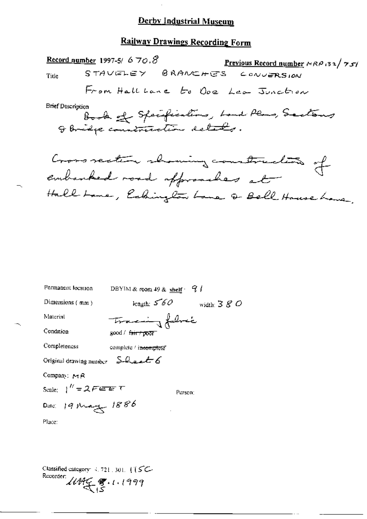## Railway Drawings Recording Form

Record number 1997-5/  $670.8$ <u>Previous Record number</u>  $AABB2$  / 751 STAVELEY BRANCHES  $C$  ON UPRS LON Title From Hall Lane to Ope Lea Junction **Brief Description** Book of Specifications, Land Plans, Sactions Cross section showing construction of

Hall Lome, Cabington Lome of Bell House Lone,

| Permanent location                                                                       | DBYIM & room 49 & shelf $\cdot$ $\frac{9}{4}$ |              |
|------------------------------------------------------------------------------------------|-----------------------------------------------|--------------|
| Dimensions (mm)                                                                          | length: $560$                                 | width: $380$ |
| Material                                                                                 | Tracing fabric                                |              |
| Condition                                                                                | good / <del>air / poor</del>                  |              |
| Completeness                                                                             | complete / i <del>ncomple</del> te"           |              |
| Original drawing number $S$ -heet 6                                                      |                                               |              |
| Company: $M R$                                                                           |                                               |              |
| Scale: $\int'' = 2 \, F \, \overline{e \, \overline{e} \, \overline{e}} \, \overline{e}$ | P <sub>trson</sub>                            |              |
| Date: 19 May 1886                                                                        |                                               |              |
| Place:                                                                                   |                                               |              |

Classified category:  $4.721.301.$  (  $\sqrt{5}C$ Recorder:  $11477$  8.1.1999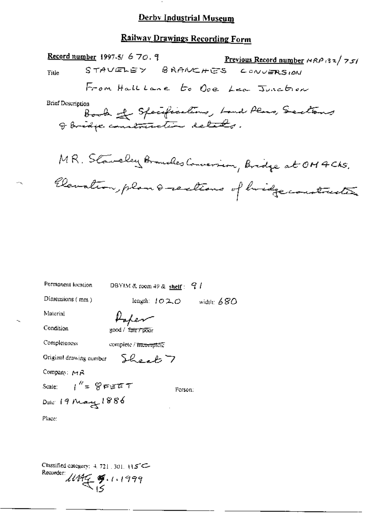## Railway Drawings Recording Form

|                          | <u>Record number</u> 1997-5/ 6 70, 9 | <u>Previous Record number</u> $MRRP$ (32/75)          |
|--------------------------|--------------------------------------|-------------------------------------------------------|
| Title                    |                                      | STAVELEY BRANCHES CONVERSION                          |
|                          |                                      | From Halllane to Ope Lea Junction                     |
| <b>Brief Description</b> | I Bridge construction details.       | Book of Specifications, Land Plans, Sections          |
|                          |                                      | MR. Staveley Branches Conversion, Bridge at OM 4 Chs. |
|                          |                                      | Elevation, plan & rections of bridge construction     |
|                          |                                      |                                                       |
|                          |                                      |                                                       |
|                          |                                      |                                                       |
| Permanent location       | DBYIM & room 49 & shelf: $q l$       |                                                       |
| Dimensions (mm)          | length: 1020                         | width: $680$                                          |
| Material                 | Hahen                                |                                                       |
| Condition                | 300d / <i>ज़िला / p</i> our          |                                                       |

Classified category: 4, 721, 301, 115C-Recorder 11495 \$.1.1999

complete / incomplete

Sheet 7

Person:

Completeness

Company: MR

Place:

Original drawing number

Scale:  $1'' = 8$ FET

Dule: 19 May 1886

45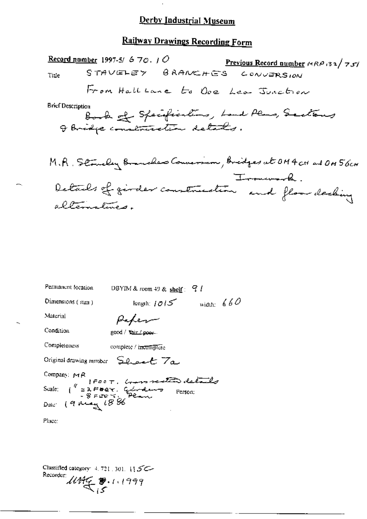## **Railway Drawings Recording Form**

Record number 1997-5/  $670.7$ <u>Previous Record number</u>  $ARP$  (32/75) STAVELEY BRANCHES CONVERSION Title From Hall Lane to Ope Lea Junction **Brief Description** Book of Specifications, Land Plans, Sactions M.R. Stonely Branches Conversion, Bridges at OM4 CH and ON 56CH Details of girder construction and floor decking alternatives.

| Permanent focation | DBYIM & room 49 & shelf: $9/1$                                                                   |
|--------------------|--------------------------------------------------------------------------------------------------|
| Dimensions (mm)    | width: $660$<br>length: $1015$                                                                   |
| Material           | Paper                                                                                            |
| Condition          | good / Yair / poer-                                                                              |
| Completeness       | complete / incomplete                                                                            |
|                    | Original drawing number Sheet 7a                                                                 |
| Company: MR        |                                                                                                  |
|                    | Scale: ("=2FBET. Girdens realise details<br>Date: ("=2FBET. Girdens Person:<br>Date: (9 May 1886 |
|                    |                                                                                                  |
| Place:             |                                                                                                  |
|                    |                                                                                                  |

Classified category: 4, 721, 301, 115C-Recorder:  $10495$  8.1.1999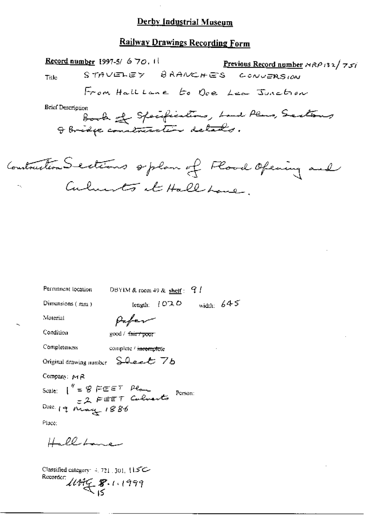## **Railway Drawings Recording Form**

Record number 1997-5/  $670.11$ Previous Record number  $\triangle R$  (32/757) STAVELEY BRANCHES  $CovVERS$  (*AN* Title From Hall Lane to Oce Lea Junction **Brief Description** Book of Specifications, Land Plans, Sections

Contraction Sections option of Flood Opening and Culments at Hall Lane

Permanent location DBYIM & room 49 & shelf:  $Q /$ 

Dimensions (mm)

length:  $1070$  width:  $645$ 

Material

 $\beta$ afer

Condition

good / fair+poor

Completeness

complete / incomplete

Original drawing number Sheet 76

Company:  $M R$ 

Scale:  $\int_{-\infty}^{\pi} = \frac{1}{2} \int_{-\infty}^{\pi} \frac{d\theta}{d\theta} d\theta = \frac{1}{2} \int_{-\infty}^{\pi} \frac{d\theta}{d\theta} d\theta = \frac{1}{2} \int_{-\infty}^{\pi} \frac{d\theta}{d\theta} d\theta = \frac{1}{2} \int_{-\infty}^{\pi} \frac{d\theta}{d\theta} d\theta = \frac{1}{2} \int_{-\infty}^{\pi} \frac{d\theta}{d\theta} d\theta = \frac{1}{2} \int_{-\infty}^{\pi} \frac{d\theta}{d\theta} d\theta = \frac{$ Person: Date 19 May 1886

Place:

Hellbane

Classified category:  $4, 721, 301, 115$ C Recorder:  $11999$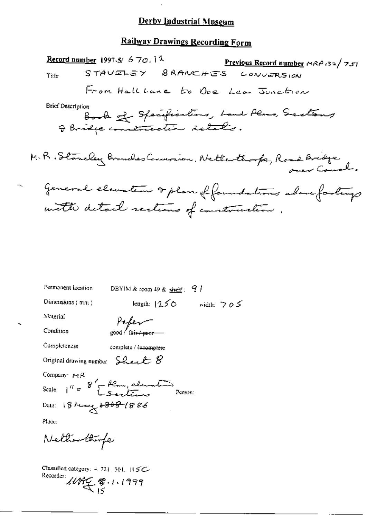## **Railway Drawings Recording Form**

Record number 1997-5/  $670.12$ Previous Record number  $\triangle R$   $\triangle$   $(32/75)$ STAVELEY BRANCHES  $CovVERS$   $cm$ Title From Hall Lane to Ope Lea Junction **Brief Description** Book of Specifications, Land Plans, Sections I Bridge contraction details. M.R. Stancley Branches Commanion, Netterthouse, Road Bridge General elevation & plan of foundations above footings with detail sections of construction. Permanent location DBYIM & reom 49 & shelf  $\frac{1}{2}$  / length:  $1250$  width:  $705$ Dimensions (mm) Material  $Prf$ er Condition Completeness complete / incomplete Original drawing number Sheet  $8$ Company  $PA$ 

Scale:  $1^{\prime\prime} = 8^{\prime} - \frac{\mu_{\text{max}}}{\mu_{\text{sc}} + \mu_{\text{max}}}$ Person: Dute: 18 March +868-1886

Place:

Nettienthorfe

Classified category:  $4, 72$ }, 501, 115C Recorder: 11899 \$ . 1.1999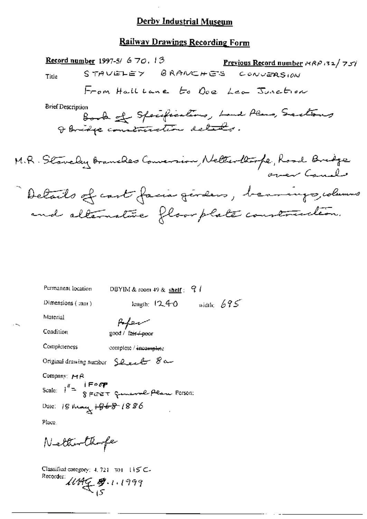### Railway Drawings Recording Form

Record number 1997-5/  $6\,70.13$ Previous Record number  $\kappa \kappa \rho$  32/757 STAVELEY BRANCHES CONVERSION Title From Hallbane to Ope Lea Junction **Brief Description** Book of Specifications, Land Plans, Sections I Bridge construction delated. M.R. Staveley Branches Conversion, Neller thorpe, Road Bridge Details of cast facia généers, beamings, columns and alternature floor plate construction.

Permanent location DBYIM & room 49 & shelf  $\frac{9}{4}$ length:  $12.40$  width:  $695$ Dimensions (:nm)

Material

Poper  $200d / \tan 4000$ 

Condition Completeness

complete / incomplete

Original drawing number Sheet 8a

Company:  $P \uparrow R$ 

Dale: 18 May <del>1868</del> 1886

Place.

Netterthofe

Classified category: 4, 721-301-115 C-Recorder:  $\mathcal{U}\mathcal{H}\mathcal{L}\mathcal{B}$ . 1.1999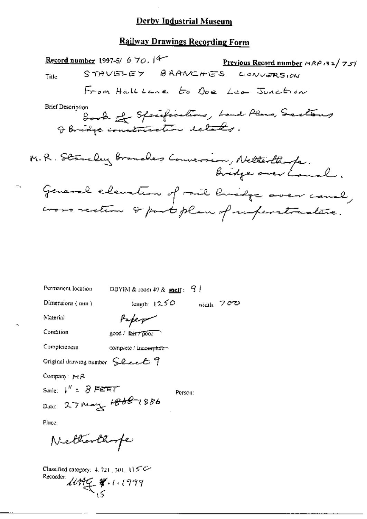## **Railway Drawings Recording Form**

Record number 1997-5/ 6 70,  $|4-$ Previous Record number  $MAP.32/757$ STAVELEY BRANCHES  $CovVERSIM$ Title From Hall Lane to Ope Lea Junction Brief Description Book of Specifications, Land Plans, Sections I Bridge construction delated. M.R. Standey Brouches Conversion, Netterthorfe. General elevation of rail lividge aver cause, cross rection & part plan of imperatualitie.

Permanent location DBYIM & room 49 & shelf:  $91$ length:  $1250$ width,  $700$ Dimensions (non.) Material Paper Condition good / fair / poor Completeness complete / incomplete Original drawing number Sheet 9 Company:  $M/R$ Scale:  $1'' = 8$  FEET Person: Date: 27 May 1868-1886 Place: Netherthope

Classified category:  $4.721$ , 301, 115°C Recorder: 1049 W. 11999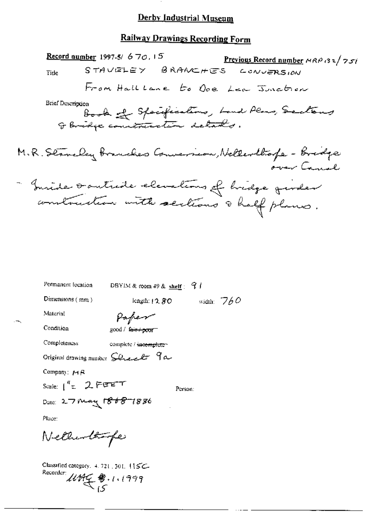### **Railway Drawings Recording Form**

Record number 1997-5/  $670.15$ Previous Record number  $AABBZ$  /  $757$ STAVELEY BRANCHES  $C$ **ONVERSION** Tirle From Halllane to Ove Lea Junction **Brief Description** Book of Specifications, Land Plans, Sections I bridge cometristion details. M.R. Stancley Branches Conversion, Nellevillage - Bridge over Canal - Imide southide elevations of bridge quider

| Permanent focation     | DBYIM & room 49 & shelf $\leq$ 7 /                                     |
|------------------------|------------------------------------------------------------------------|
| Dimensions $(mn)$      | width: $760$<br>length: $12.80$                                        |
| Material               | Paper                                                                  |
| Condition              |                                                                        |
| Completeness           | complete / incertainter                                                |
|                        | Original drawing number $\mathcal G$ le el $\mathcal F$ $\mathcal G$ a |
| Company: $MA$          |                                                                        |
| Scale: $1''$ = 2 FEET  | Person:                                                                |
| Date: 27 May 1868-1886 |                                                                        |
| Pluce:                 |                                                                        |

Nethinthorpe

Classified category.  $4.721$ , 301.  $115C$ Recorder:  $\mathcal{U}\mathcal{H}\subsetneq \mathcal{U}$ . 1.1999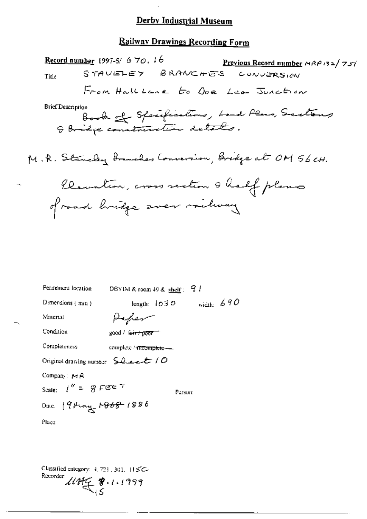#### **Railway Drawings Recording Form**

Record number 1997-5/670, 16 Previous Record number  $MAP/32/757$ STAVELEY BRANCHES CONVERSION Title From Hall Lane to Ope Lea Junction **Brief Description** Book of Specifications, Loud Plans, Sections M.R. Stancley Branches Conversion, Bridge at OM 56 CH. Clemation, cross section & half plans of road hridge aver milway Permanent lecation DBYIM & room 49 & shelf:  $9/1$ length:  $1030$  width:  $690$ Dimensions  ${+mn}$ ) Material Peper Condition good / fair / poor Completeness complete / mcomplete --Original drawing number  $\mathcal{L}_{\text{max}}$  / O

Company:  $MA$ 

Scale:  $l'' = 8$  FEE  $T$ 

Person:

Date: 19 May 1868 1886

Place:

Classified category:  $4, 723, 301, 115C$ Recorder:  $11499$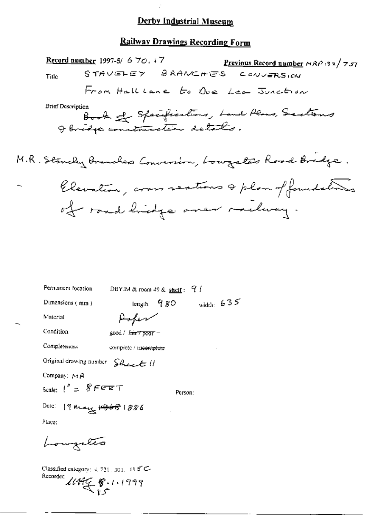## **Railway Drawings Recording Form**

Record number 1997-5/ 6 70,  $+7$ <u>Previous Record number</u>  $MRP$  32/751 STAVELEY BRANCHES CONVERSIAN Title From Hall Lane to Ove Lea Junction **Brief Description** Book of Specifications, Land Plans, Sections I bridge construction setals. M.R. Stancky Branches Conversion, Lougales Road Bridge. Elevation, cross sections & plan of foundations of road hidge aner melway. Permanent location DBYIM & room 49 & shelf:  $9/1$ 

width:  $635$ Dimensions (mm) length,  $980$ Material Poper Condition good / fair 7 poor -Completeness complete / meomplete Original drawing number Sheet II Company:  $MA$ Scale:  $1'' = 8$ FFET Person: Date: 19 khong 19681886 Place: Lougates Classified category:  $4.721.301.115C$ Rucorder: 11895 8.1.1999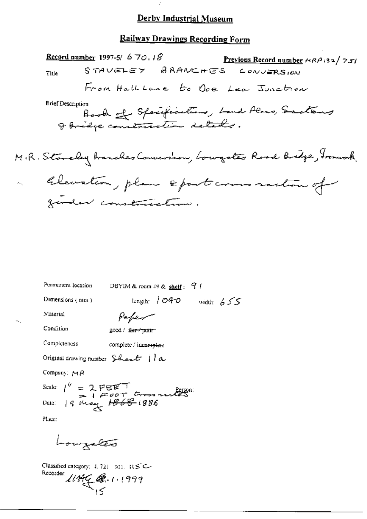#### Railway Drawings Recording Form

Record number 1997-5/  $6\,70.18$ Previous Record number  $\kappa R \rho$  is  $\frac{1}{2} \sigma \sqrt{2 \pi \rho}$ STAVELEY BRANCHES CONVERSION Title From Hall Lane to Ope Lea Junction **Brief Description** Book of Specifications, Land Plans, Sactions I bridge construction details. M.R. Stanaley Banches Conversion, Lowgotes Road Bridge, Fromuak. Elevation, plan sport commandancef garden construction.

Permanent location DBYIM & room  $49$  & shelf:  $9$  / length:  $1040$  width:  $655$ Dimensions  $(mn)$ 

Paper

Condition

Material

good / fair / pottr

Completeness complete / imminutere

Original drawing number Shark  $||a||$ 

Company:  $M R$ 

Scale:  $1'' = 2. \text{FEET}$ <br>Date:  $14 \text{ rad}$   $1200 \text{ T}$  Gross materials

Place:

Louizates

Classified category: 4, 721-301,  $R5C$ Recorder:  $11999$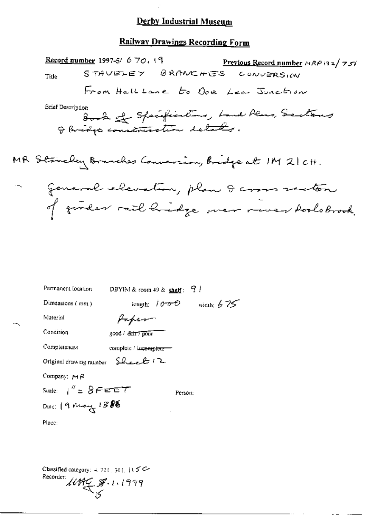Ġ,

## Railway Drawings Recording Form

| <b>Record number</b> 1997-5/ $6\,70$ , 19<br><b>Previous Record number</b> $A \otimes B$ is $2 / 7 \leq i$ |  |
|------------------------------------------------------------------------------------------------------------|--|
| STAVELEY BRANCHES CONVERSION<br>Title                                                                      |  |
| From HallLane to Oce Lea Junction                                                                          |  |
| Brief Description<br>Book of Specifications, Land Plans, Sections                                          |  |
| Stancley Bruches Conversion, Bridge at M 21 CH.                                                            |  |
| general elevation, plan 8 cross section                                                                    |  |
| of gender mil hidge wer never hools brook.                                                                 |  |
|                                                                                                            |  |
|                                                                                                            |  |
|                                                                                                            |  |
| Permanent location<br>DBYIM & room 49 & shelf: $9/1$                                                       |  |
| length: $1000$ width: $675$<br>Dimensions (mm)                                                             |  |
| Material<br>Paper                                                                                          |  |
| Condition<br>good / fair / poor                                                                            |  |
| Completeness<br>complete / incomplete                                                                      |  |
| Original drawing number $SL$ eel $12$                                                                      |  |
|                                                                                                            |  |

Company:  $MA$ 

Dale: 19 May 1888

Scale:  $1'' = 8$ FEET

Person:

Place:

MR

 $\cdot -$ 

Classified category: 4, 721, 301, 115C Recorder  $1099$ <br> $5$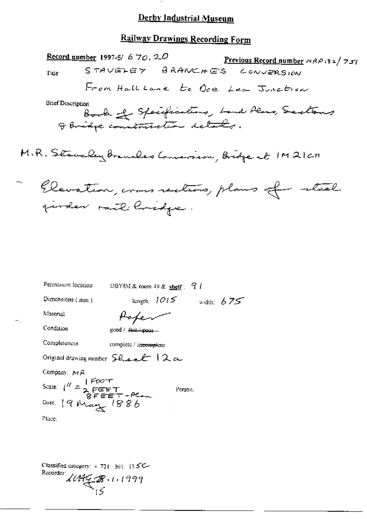## **Railway Drawings Recording Form**

<u>Record number</u> 1997-5/ 6 70, 20 Previous Record number NRP 132/757 STAVELEY BRANCHES CONVERSION Title From Hall Lane to Ove Lea Junction **Brief Description** Book of Specifications, Land Plans, Sections I bridge construction details. M.R. Staveley Branches Conversion, Bridge at 1M21cm Elevation, cross rections, plans of teal gender mil hvidge. Permanent location DBYIM & room 49 & shelf:  $9/$ length:  $1015$  width:  $675$ Dimensions (mm) Material Paper Condition good / fair./ poor ... Completeness complete / incomplete Original drawing number  $S$ hael<sup>1</sup>  $\lambda \alpha$ Company:  $MA$ Scale:  $1^{\prime\prime} = \frac{170047}{2 \times 17507}$ <br>Scale:  $1^{\prime\prime} = 2 \times 1757$ Person: Date: 19 May 1886 Place:

Classified category:  $4.721.301.115C$ Recorder:  $444928 \cdot 1.1999$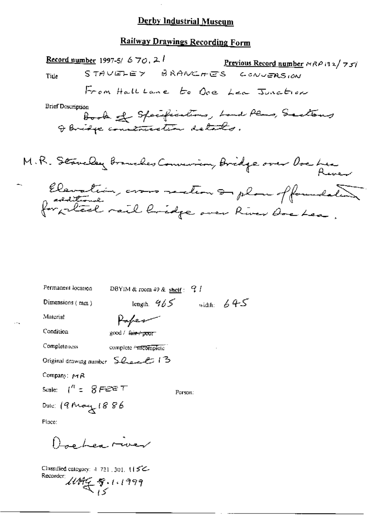## **Railway Drawings Recording Form**

Record number 1997-5/  $670.21$ Previous Record number  $\forall RP$  (32/75) STAVELEY BRANCHES CONVERSION Title From Hall Lane to Ove Lea Junction **Brief Description** Book of Specifications, Land Plans, Sactions M.R. Staveley Branches Convenien, Bridge over Overhea Elevation, crois rection on plan of foundation

| Permanent location                             | DBYIM & room $49$ & shelf: $9$ $\ell$ |               |              |
|------------------------------------------------|---------------------------------------|---------------|--------------|
| Dimensions $(mm)$                              |                                       | length, $965$ | width: $645$ |
| Material                                       |                                       |               |              |
| Condition                                      | good/ <del>fair/poor</del>            |               |              |
| Completeness                                   | complete / Titcomplete                |               |              |
| Original drawing number 5 have to 13           |                                       |               |              |
| Compan: MR                                     |                                       |               |              |
| Scale: $1^{\prime\prime} = -\mathcal{S}$ FEE T |                                       | Person:       |              |
| Dale: $(9$ May $1886$                          |                                       |               |              |
| Place:                                         |                                       |               |              |
| o Les rives                                    |                                       |               |              |

Classified category: 4-721, 301, 115C-Recorder:  $14468.11999$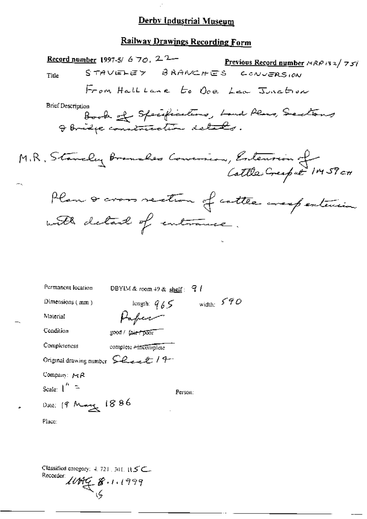$\mathbb{R}^2$ 

# Railway Drawings Recording Form

|                                 | <u>Record number</u> 1997-5/ 6 70, 2 <sup>2</sup> |               |              | Previous Record number $ARPI32/757$           |  |
|---------------------------------|---------------------------------------------------|---------------|--------------|-----------------------------------------------|--|
| Title                           | STAVELEY BRANCHES                                 |               |              | CONVERSION                                    |  |
|                                 |                                                   |               |              | From Hall Lane to Ove Lea Junction            |  |
| <b>Brief Description</b>        |                                                   |               |              | Book of Specifications, Land Plans, Sactions  |  |
|                                 |                                                   |               |              | M.R. Stanely Brancles Convenien, Entension of |  |
|                                 |                                                   |               |              | Plan & cross section of cottle arespectation  |  |
|                                 | with detail of entrance.                          |               |              |                                               |  |
|                                 |                                                   |               |              |                                               |  |
| Permanent location              | DBYIM & room $49$ & shelf: $71$                   |               |              |                                               |  |
| Dimensions (mm)                 |                                                   | length: $965$ | width: $590$ |                                               |  |
| Material                        | Paper                                             |               |              |                                               |  |
| Condition                       | good / fair / poor                                |               |              |                                               |  |
| Completeness                    | complete <del>/ incomplete</del>                  |               |              |                                               |  |
| Original drawing number Leet 19 |                                                   |               |              |                                               |  |
| Company: $MA$                   |                                                   |               |              |                                               |  |
| Scale: $1^{n}$ =                |                                                   | Person:       |              |                                               |  |
| Date: 19 Mary 1886              |                                                   |               |              |                                               |  |
| Place:                          |                                                   |               |              |                                               |  |
|                                 |                                                   |               |              |                                               |  |
|                                 |                                                   |               |              |                                               |  |

Classified category: 4, 721, 301, 11.5 C. Recorder  $114666$   $6111999$ 

÷.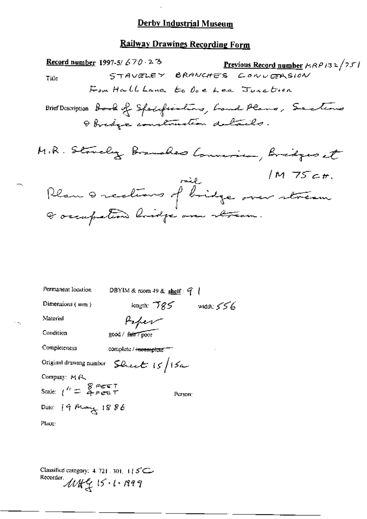# Railway Drawings Recording Form

| Record number 1997-5/670 $\cdot$ 2 B<br><u>Previous Record number</u> $\mu$ RP132/251            |
|--------------------------------------------------------------------------------------------------|
| STAVELEY BRANCHES CONVERSION<br>Title                                                            |
| For Hall Lane to Doe Lee Junction                                                                |
| Brief Description book of Specifications, Loud Plans, Sections<br>I bridge construction delails. |
| M.R. Stovely Branches Conversion, Bridges et                                                     |
| /M 75c#.<br>rail                                                                                 |
| Rlan 0 rections of bridge over stream                                                            |
| I occupation lovidge one atteam.                                                                 |
|                                                                                                  |
|                                                                                                  |
|                                                                                                  |
|                                                                                                  |
| Permanent location<br>DBYIM&room 49& <u>shelf</u> : 9                                            |
| Dimensions $(mn)$<br>length; $785$ width; $556$                                                  |
| Material<br>Paper                                                                                |
| Condition<br>good / fair / poor                                                                  |
| Completeness<br>complete / incomplete                                                            |
| Sheet $15/15$ a<br>Original drawing number                                                       |
| Company: MR                                                                                      |
| Scale: $1^{\prime\prime} = \begin{array}{c} 8 \\ 4 + 1 \end{array}$ Figure T<br>Person:          |
| Date: 19 May 1886                                                                                |
| Place:                                                                                           |
|                                                                                                  |

Classified category: 4.721.301. 1 | 5 C<br>Recorder.<br> $MN_{\frac{1}{2}}$  | 5 · 1 · 1999

 $\overline{\phantom{a}}$ 

 $\sim$   $\sim$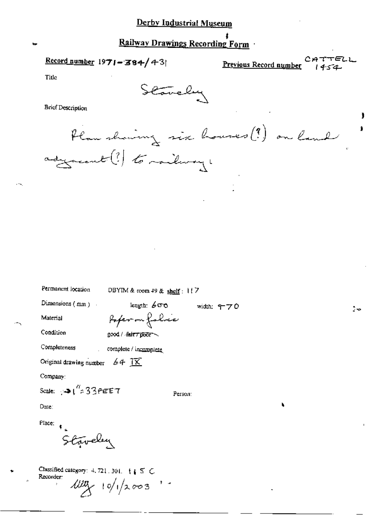## Railway Drawings Recording Form

Record number  $1971 - 384/43$ 

Previous Record number

TEL)

Title

Stavely

**Brief Description** 

Plan showing six houses (?) on land adjourned (?) to mailway,

width: 470

Permanent location

DBYIM & room 49 & shelf: 117

Dimensions  $(mn)$ .

length:  $600$ 

Material Condition

Poper on folice good / fair 7 poor

Completeness complete / incomplete

Original drawing number  $64$   $\overline{11}$ 

Company:

Scale:  $\sqrt{2}$  ( $\frac{q}{2}$ 33 PEET

Person:

Dute:

Place:

Staveley

Classified category: 4, 721, 301,  $\begin{pmatrix} 1 & 5 & C \end{pmatrix}$ Recorder:  $\frac{100}{10}$  10/1/2003 '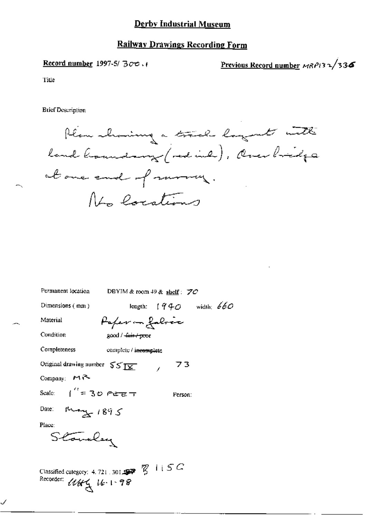## **Railway Drawings Recording Form**

Record number 1997-5/ $300$ .

Previous Record number MRP132/336

Title

**Brief Description** 

Plan showing a track lagent with land broundary (red ind), Over bridge at one end of more, No locations

| Permanent location                                             |                              | DBYIM & room $49$ & shelf: $70$ |  |
|----------------------------------------------------------------|------------------------------|---------------------------------|--|
| Dimensions $(mn)$                                              |                              | length: $1940$ width: $660$     |  |
| Material                                                       | Paper — falrec               |                                 |  |
| Condition                                                      | good / <del>fair/poo</del> r |                                 |  |
| Completeness                                                   | complete / incomplete        |                                 |  |
| Original drawing number $55\overline{11}$                      |                              | 73                              |  |
| Company: $M$                                                   |                              |                                 |  |
| Scale: $\int_{0}^{t} = 30$ feet                                |                              | Person:                         |  |
| Date: May 1895                                                 |                              |                                 |  |
| Place:                                                         |                              |                                 |  |
| Stoveley                                                       |                              |                                 |  |
| Classified category: 4.721.301.<br>Recorder;<br>$1144$ 16.1.98 |                              |                                 |  |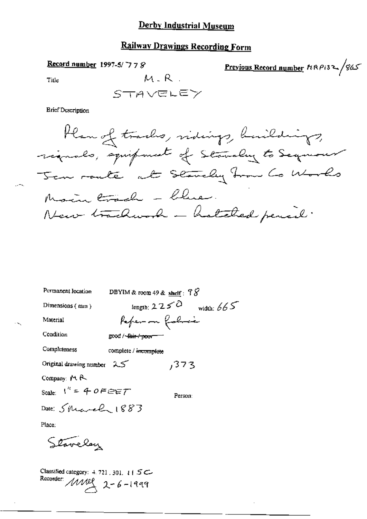# Railway Drawings Recording Form

Record number 1997-5/778

Previous Record number  $\hbar$ RPi32/865

Title

 $\ddotsc$ 

**Brief Description** 

| Permanent location         | DBYIM & room 49 & shelf : $78$   |              |
|----------------------------|----------------------------------|--------------|
| Dimensions ( $mn$ )        | length: $2250$                   | width: $665$ |
| Material                   | Pefer on folio                   |              |
| Condition                  | good / <del>-fair / poor =</del> |              |
| Completeness               | complete / <del>incomplete</del> |              |
| Original drawing number 25 | ,373                             |              |
| Company: $M R$             |                                  |              |
| Scale: $1'' = 40F E E T$   | Person:                          |              |
| Date: Shearely 1883        |                                  |              |
| Place:                     |                                  |              |
| Stavelay                   |                                  |              |

Classified category: 4, 721, 301, 115C Recorder  $MME$  2-6-1999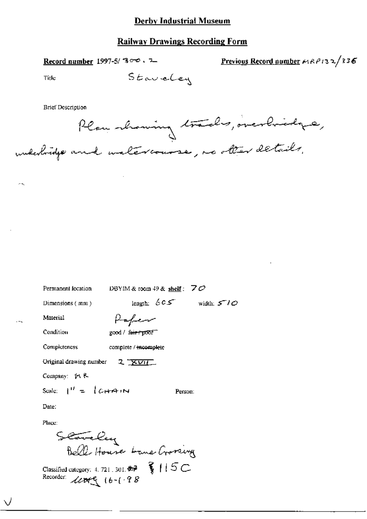### **Railway Drawings Recording Form**

Record number 1997-5/ 300. 7

Previous Record number  $\kappa_1 \kappa_2 \rho_1$ 32/336

Title

Staveley

**Brief Description** 

Plan showing trades, overbridge, underbridge and untercourse, no other details.

DBYIM & room 49 & shelf:  $70$ Permanent location length:  $605$  width:  $510$ Dimensions (mm) Paper Material Condition good / fair / poor **Completeness** complete / incomplete Original drawing number 2 **XVII** Company:  $M R$ Scale:  $1^{11} = \int C + A \cdot N$ Person: Date: Place:

Stavely<br>Bell House bane Crossing

Classified category: 4, 721, 301,  $\overrightarrow{z}$   $\overrightarrow{y}$   $\overrightarrow{f}$   $\overrightarrow{f}$   $\overrightarrow{C}$ Recorder: 10009 16-1.98

 $\sim$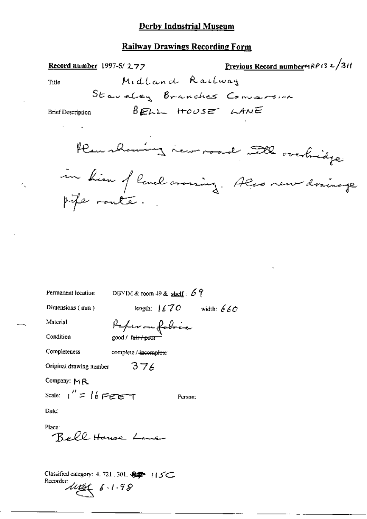#### **Railway Drawings Recording Form**

Midland Railway

Record number 1997-5/277

Previous Record number MRP132/3if

Title

Staueley Branches Conversion BELL HOUSE LANE

**Brief Description** 

Her channing in road till overbridge

in him of land aroning. Also new drainage pife route.

Permanent location DBYIM & room 49 & shelf:  $69$ 

Dimensions (mm)

length:  $1670$  width:  $660$ 

Condition

Material

Paper on fabric good / fa<del>ir / poor</del>

Completeness

complete / incomplete

 $376$ 

Original drawing number

Company: MR

Scale:  $\iota'' = \{\ell \in \mathbb{R} \}$ 

Person;

Date:

Place: Reff House Line

Classified category: 4, 721, 301, 卷字 / / 5C Recorder  $\mu$